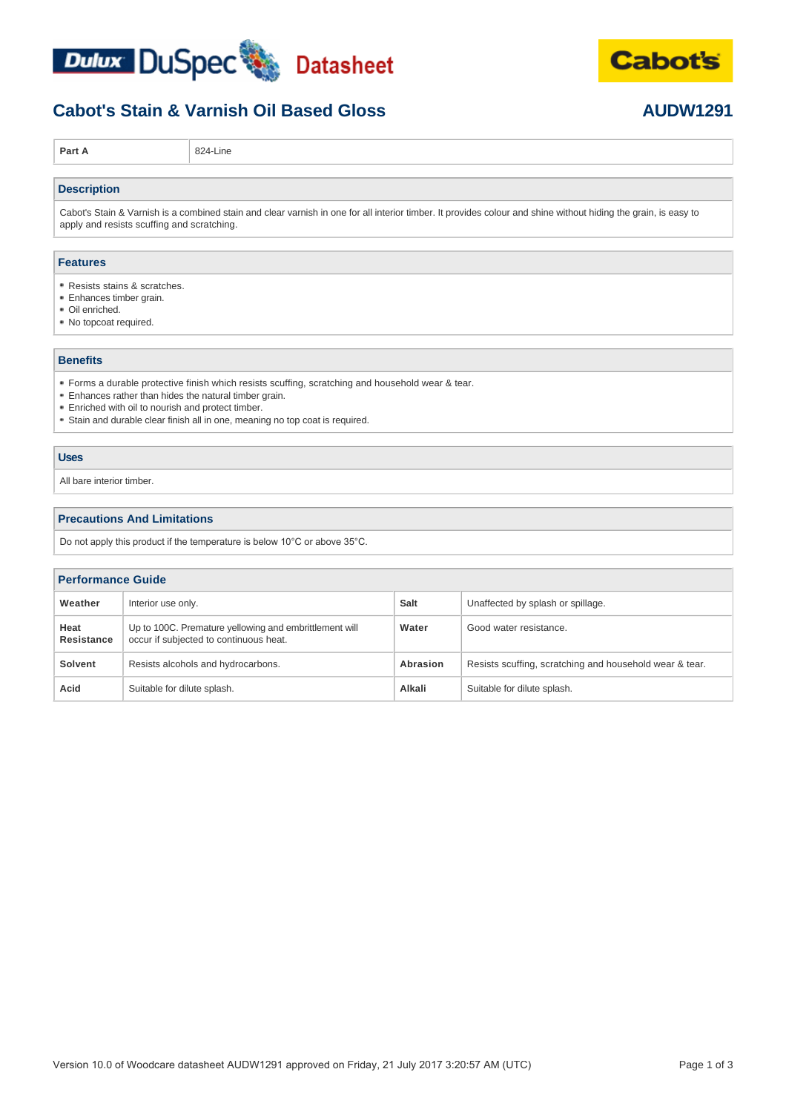



### **Cabot's Stain & Varnish Oil Based Gloss AUDW1291**

**Part A** 824-Line

#### **Description**

Cabot's Stain & Varnish is a combined stain and clear varnish in one for all interior timber. It provides colour and shine without hiding the grain, is easy to apply and resists scuffing and scratching.

#### **Features**

- Resists stains & scratches.
- Enhances timber grain.
- Oil enriched.
- No topcoat required.

#### **Benefits**

- Forms a durable protective finish which resists scuffing, scratching and household wear & tear.
- Enhances rather than hides the natural timber grain.
- Enriched with oil to nourish and protect timber.
- Stain and durable clear finish all in one, meaning no top coat is required.

#### **Uses**

All bare interior timber.

#### **Precautions And Limitations**

Do not apply this product if the temperature is below 10°C or above 35°C.

#### **Performance Guide**

| Weather            | Interior use only.                                                                               | Salt     | Unaffected by splash or spillage.                       |
|--------------------|--------------------------------------------------------------------------------------------------|----------|---------------------------------------------------------|
| Heat<br>Resistance | Up to 100C. Premature yellowing and embrittlement will<br>occur if subjected to continuous heat. | Water    | Good water resistance.                                  |
| <b>Solvent</b>     | Resists alcohols and hydrocarbons.                                                               | Abrasion | Resists scuffing, scratching and household wear & tear. |
| Acid               | Suitable for dilute splash.                                                                      | Alkali   | Suitable for dilute splash.                             |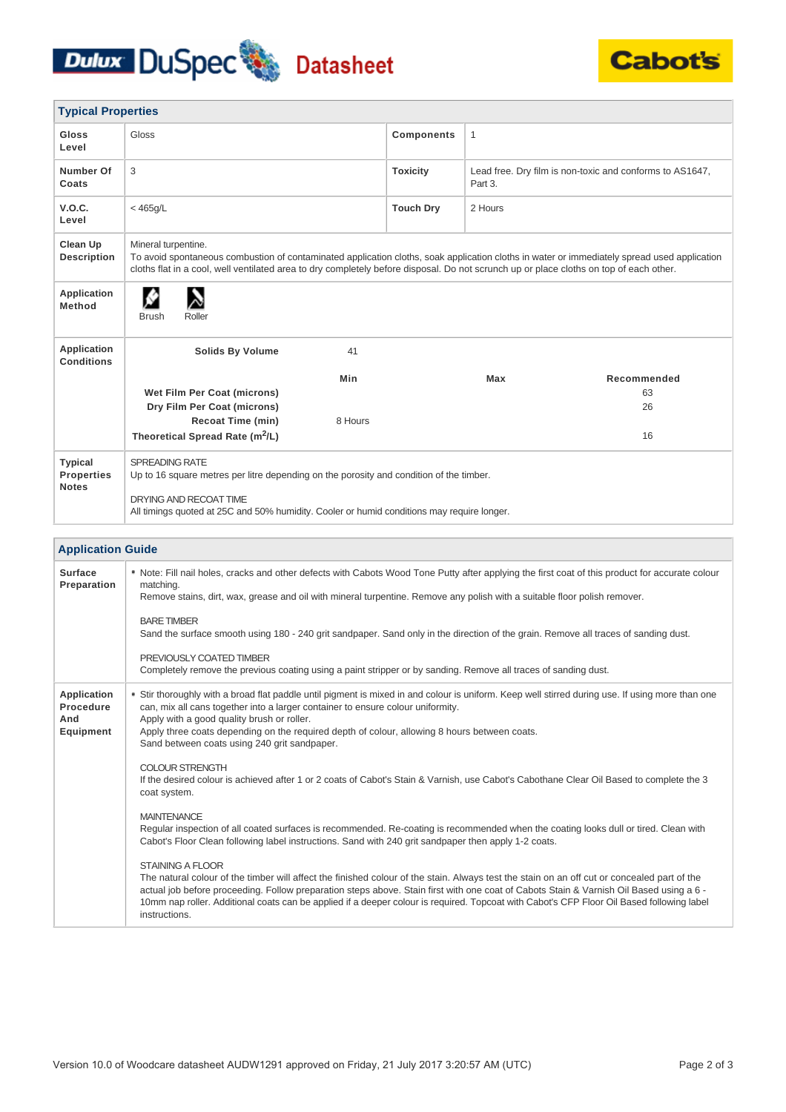# Dulux DuSpec Datasheet



| <b>Typical Properties</b>                                         |                                                                                                                                                                                                                                                                                                                                                                                                                                                                                                                                                                                                                                                                                                                                                                                                                                                                                                                                                                                             |                   |              |                                                          |  |
|-------------------------------------------------------------------|---------------------------------------------------------------------------------------------------------------------------------------------------------------------------------------------------------------------------------------------------------------------------------------------------------------------------------------------------------------------------------------------------------------------------------------------------------------------------------------------------------------------------------------------------------------------------------------------------------------------------------------------------------------------------------------------------------------------------------------------------------------------------------------------------------------------------------------------------------------------------------------------------------------------------------------------------------------------------------------------|-------------------|--------------|----------------------------------------------------------|--|
| Gloss<br>Level                                                    | Gloss                                                                                                                                                                                                                                                                                                                                                                                                                                                                                                                                                                                                                                                                                                                                                                                                                                                                                                                                                                                       | <b>Components</b> | $\mathbf{1}$ |                                                          |  |
| Number Of<br>Coats                                                | 3                                                                                                                                                                                                                                                                                                                                                                                                                                                                                                                                                                                                                                                                                                                                                                                                                                                                                                                                                                                           | <b>Toxicity</b>   | Part 3.      | Lead free. Dry film is non-toxic and conforms to AS1647, |  |
| V.O.C.<br>Level                                                   | $<$ 465g/L                                                                                                                                                                                                                                                                                                                                                                                                                                                                                                                                                                                                                                                                                                                                                                                                                                                                                                                                                                                  | <b>Touch Dry</b>  | 2 Hours      |                                                          |  |
| <b>Clean Up</b><br><b>Description</b>                             | Mineral turpentine.<br>To avoid spontaneous combustion of contaminated application cloths, soak application cloths in water or immediately spread used application<br>cloths flat in a cool, well ventilated area to dry completely before disposal. Do not scrunch up or place cloths on top of each other.                                                                                                                                                                                                                                                                                                                                                                                                                                                                                                                                                                                                                                                                                |                   |              |                                                          |  |
| <b>Application</b><br><b>Method</b>                               | Roller<br><b>Brush</b>                                                                                                                                                                                                                                                                                                                                                                                                                                                                                                                                                                                                                                                                                                                                                                                                                                                                                                                                                                      |                   |              |                                                          |  |
| Application<br><b>Conditions</b>                                  | <b>Solids By Volume</b><br>41                                                                                                                                                                                                                                                                                                                                                                                                                                                                                                                                                                                                                                                                                                                                                                                                                                                                                                                                                               |                   |              |                                                          |  |
|                                                                   | Min                                                                                                                                                                                                                                                                                                                                                                                                                                                                                                                                                                                                                                                                                                                                                                                                                                                                                                                                                                                         |                   | Max          | Recommended                                              |  |
|                                                                   | Wet Film Per Coat (microns)<br>Dry Film Per Coat (microns)                                                                                                                                                                                                                                                                                                                                                                                                                                                                                                                                                                                                                                                                                                                                                                                                                                                                                                                                  |                   |              | 63<br>26                                                 |  |
|                                                                   | 8 Hours<br><b>Recoat Time (min)</b>                                                                                                                                                                                                                                                                                                                                                                                                                                                                                                                                                                                                                                                                                                                                                                                                                                                                                                                                                         |                   |              |                                                          |  |
|                                                                   | Theoretical Spread Rate (m <sup>2</sup> /L)                                                                                                                                                                                                                                                                                                                                                                                                                                                                                                                                                                                                                                                                                                                                                                                                                                                                                                                                                 |                   |              | 16                                                       |  |
| <b>Typical</b><br><b>Properties</b><br><b>Notes</b>               | <b>SPREADING RATE</b><br>Up to 16 square metres per litre depending on the porosity and condition of the timber.<br>DRYING AND RECOAT TIME<br>All timings quoted at 25C and 50% humidity. Cooler or humid conditions may require longer.                                                                                                                                                                                                                                                                                                                                                                                                                                                                                                                                                                                                                                                                                                                                                    |                   |              |                                                          |  |
|                                                                   |                                                                                                                                                                                                                                                                                                                                                                                                                                                                                                                                                                                                                                                                                                                                                                                                                                                                                                                                                                                             |                   |              |                                                          |  |
| <b>Surface</b><br>Preparation                                     | <b>Application Guide</b><br>* Note: Fill nail holes, cracks and other defects with Cabots Wood Tone Putty after applying the first coat of this product for accurate colour<br>matching.<br>Remove stains, dirt, wax, grease and oil with mineral turpentine. Remove any polish with a suitable floor polish remover.<br><b>BARE TIMBER</b><br>Sand the surface smooth using 180 - 240 grit sandpaper. Sand only in the direction of the grain. Remove all traces of sanding dust.<br>PREVIOUSLY COATED TIMBER                                                                                                                                                                                                                                                                                                                                                                                                                                                                              |                   |              |                                                          |  |
| <b>Application</b><br><b>Procedure</b><br>And<br><b>Equipment</b> | Completely remove the previous coating using a paint stripper or by sanding. Remove all traces of sanding dust.<br>• Stir thoroughly with a broad flat paddle until pigment is mixed in and colour is uniform. Keep well stirred during use. If using more than one<br>can, mix all cans together into a larger container to ensure colour uniformity.<br>Apply with a good quality brush or roller.<br>Apply three coats depending on the required depth of colour, allowing 8 hours between coats.                                                                                                                                                                                                                                                                                                                                                                                                                                                                                        |                   |              |                                                          |  |
|                                                                   | Sand between coats using 240 grit sandpaper.<br><b>COLOUR STRENGTH</b><br>If the desired colour is achieved after 1 or 2 coats of Cabot's Stain & Varnish, use Cabot's Cabothane Clear Oil Based to complete the 3<br>coat system.<br><b>MAINTENANCE</b><br>Regular inspection of all coated surfaces is recommended. Re-coating is recommended when the coating looks dull or tired. Clean with<br>Cabot's Floor Clean following label instructions. Sand with 240 grit sandpaper then apply 1-2 coats.<br><b>STAINING A FLOOR</b><br>The natural colour of the timber will affect the finished colour of the stain. Always test the stain on an off cut or concealed part of the<br>actual job before proceeding. Follow preparation steps above. Stain first with one coat of Cabots Stain & Varnish Oil Based using a 6 -<br>10mm nap roller. Additional coats can be applied if a deeper colour is required. Topcoat with Cabot's CFP Floor Oil Based following label<br>instructions. |                   |              |                                                          |  |